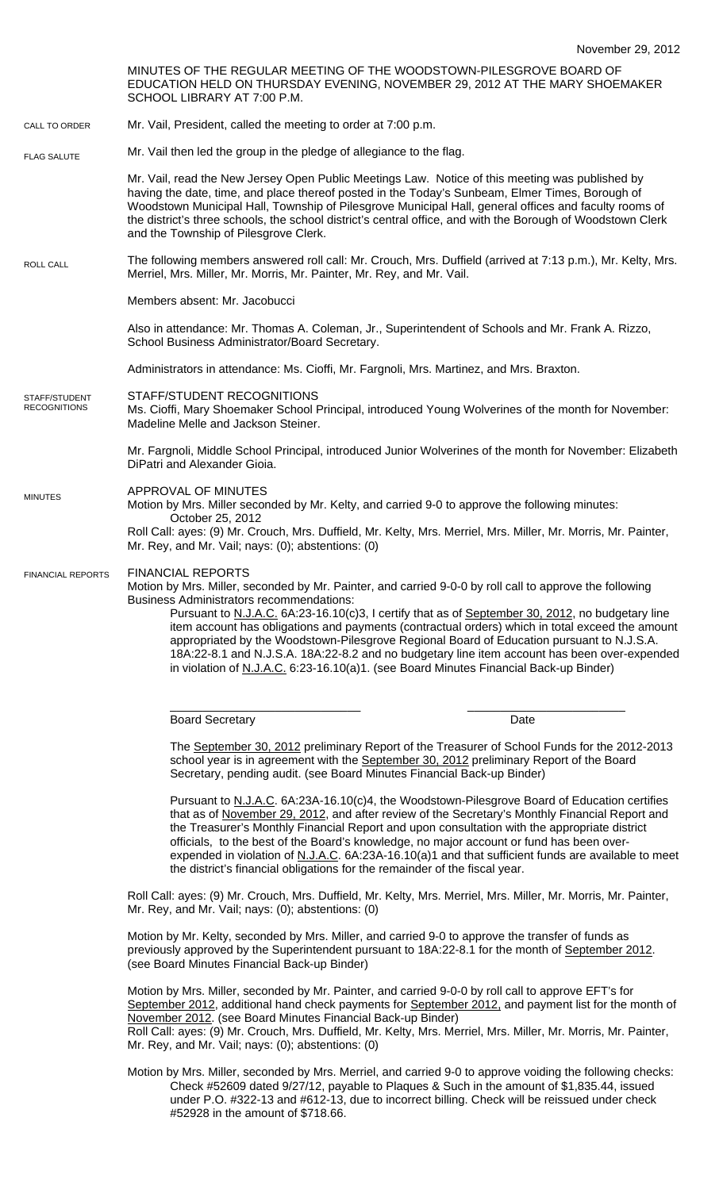MINUTES OF THE REGULAR MEETING OF THE WOODSTOWN-PILESGROVE BOARD OF EDUCATION HELD ON THURSDAY EVENING, NOVEMBER 29, 2012 AT THE MARY SHOEMAKER SCHOOL LIBRARY AT 7:00 P.M. Mr. Vail, President, called the meeting to order at 7:00 p.m. Mr. Vail then led the group in the pledge of allegiance to the flag. Mr. Vail, read the New Jersey Open Public Meetings Law. Notice of this meeting was published by having the date, time, and place thereof posted in the Today's Sunbeam, Elmer Times, Borough of Woodstown Municipal Hall, Township of Pilesgrove Municipal Hall, general offices and faculty rooms of the district's three schools, the school district's central office, and with the Borough of Woodstown Clerk and the Township of Pilesgrove Clerk. The following members answered roll call: Mr. Crouch, Mrs. Duffield (arrived at 7:13 p.m.), Mr. Kelty, Mrs. Merriel, Mrs. Miller, Mr. Morris, Mr. Painter, Mr. Rey, and Mr. Vail. Members absent: Mr. Jacobucci Also in attendance: Mr. Thomas A. Coleman, Jr., Superintendent of Schools and Mr. Frank A. Rizzo, School Business Administrator/Board Secretary. Administrators in attendance: Ms. Cioffi, Mr. Fargnoli, Mrs. Martinez, and Mrs. Braxton. STAFF/STUDENT RECOGNITIONS Ms. Cioffi, Mary Shoemaker School Principal, introduced Young Wolverines of the month for November: Madeline Melle and Jackson Steiner. Mr. Fargnoli, Middle School Principal, introduced Junior Wolverines of the month for November: Elizabeth DiPatri and Alexander Gioia. APPROVAL OF MINUTES Motion by Mrs. Miller seconded by Mr. Kelty, and carried 9-0 to approve the following minutes: October 25, 2012 Roll Call: ayes: (9) Mr. Crouch, Mrs. Duffield, Mr. Kelty, Mrs. Merriel, Mrs. Miller, Mr. Morris, Mr. Painter, Mr. Rey, and Mr. Vail; nays: (0); abstentions: (0) FINANCIAL REPORTS Motion by Mrs. Miller, seconded by Mr. Painter, and carried 9-0-0 by roll call to approve the following Business Administrators recommendations: Pursuant to N.J.A.C. 6A:23-16.10(c)3, I certify that as of September 30, 2012, no budgetary line item account has obligations and payments (contractual orders) which in total exceed the amount appropriated by the Woodstown-Pilesgrove Regional Board of Education pursuant to N.J.S.A. 18A:22-8.1 and N.J.S.A. 18A:22-8.2 and no budgetary line item account has been over-expended in violation of N.J.A.C. 6:23-16.10(a)1. (see Board Minutes Financial Back-up Binder) \_\_\_\_\_\_\_\_\_\_\_\_\_\_\_\_\_\_\_\_\_\_\_\_\_\_\_\_\_ \_\_\_\_\_\_\_\_\_\_\_\_\_\_\_\_\_\_\_\_\_\_\_\_ Board Secretary Date **Date** The September 30, 2012 preliminary Report of the Treasurer of School Funds for the 2012-2013 school year is in agreement with the September 30, 2012 preliminary Report of the Board Secretary, pending audit. (see Board Minutes Financial Back-up Binder) Pursuant to N.J.A.C. 6A:23A-16.10(c)4, the Woodstown-Pilesgrove Board of Education certifies that as of November 29, 2012, and after review of the Secretary's Monthly Financial Report and the Treasurer's Monthly Financial Report and upon consultation with the appropriate district officials, to the best of the Board's knowledge, no major account or fund has been overexpended in violation of N.J.A.C. 6A:23A-16.10(a)1 and that sufficient funds are available to meet the district's financial obligations for the remainder of the fiscal year. Roll Call: ayes: (9) Mr. Crouch, Mrs. Duffield, Mr. Kelty, Mrs. Merriel, Mrs. Miller, Mr. Morris, Mr. Painter, Mr. Rey, and Mr. Vail; nays: (0); abstentions: (0) Motion by Mr. Kelty, seconded by Mrs. Miller, and carried 9-0 to approve the transfer of funds as previously approved by the Superintendent pursuant to 18A:22-8.1 for the month of September 2012. (see Board Minutes Financial Back-up Binder) Motion by Mrs. Miller, seconded by Mr. Painter, and carried 9-0-0 by roll call to approve EFT's for September 2012, additional hand check payments for September 2012, and payment list for the month of November 2012. (see Board Minutes Financial Back-up Binder) Roll Call: ayes: (9) Mr. Crouch, Mrs. Duffield, Mr. Kelty, Mrs. Merriel, Mrs. Miller, Mr. Morris, Mr. Painter, Mr. Rey, and Mr. Vail; nays: (0); abstentions: (0) Motion by Mrs. Miller, seconded by Mrs. Merriel, and carried 9-0 to approve voiding the following checks: Check #52609 dated 9/27/12, payable to Plaques & Such in the amount of \$1,835.44, issued under P.O. #322-13 and #612-13, due to incorrect billing. Check will be reissued under check #52928 in the amount of \$718.66. CALL TO ORDER ROLL CALL FLAG SALUTE MINUTES FINANCIAL REPORTS STAFF/STUDENT **RECOGNITIONS**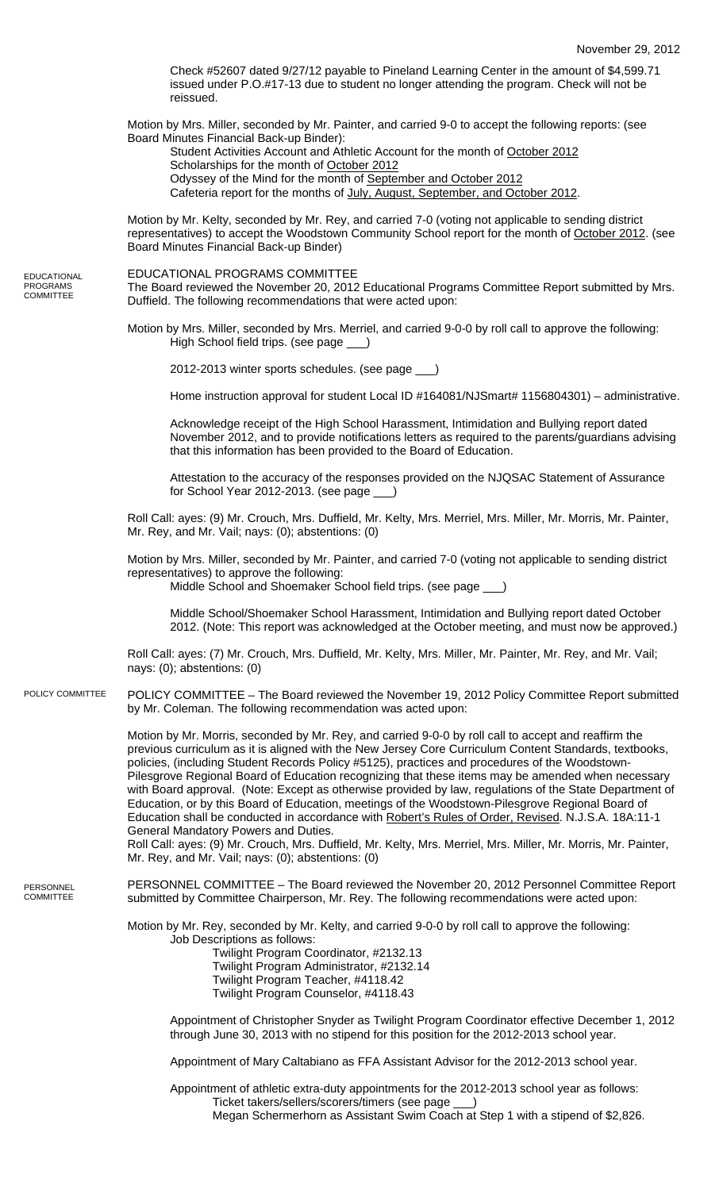Check #52607 dated 9/27/12 payable to Pineland Learning Center in the amount of \$4,599.71 issued under P.O.#17-13 due to student no longer attending the program. Check will not be reissued. Motion by Mrs. Miller, seconded by Mr. Painter, and carried 9-0 to accept the following reports: (see Board Minutes Financial Back-up Binder): Student Activities Account and Athletic Account for the month of October 2012 Scholarships for the month of October 2012 Odyssey of the Mind for the month of September and October 2012 Cafeteria report for the months of July, August, September, and October 2012. Motion by Mr. Kelty, seconded by Mr. Rey, and carried 7-0 (voting not applicable to sending district representatives) to accept the Woodstown Community School report for the month of October 2012. (see Board Minutes Financial Back-up Binder) EDUCATIONAL PROGRAMS COMMITTEE The Board reviewed the November 20, 2012 Educational Programs Committee Report submitted by Mrs. Duffield. The following recommendations that were acted upon: Motion by Mrs. Miller, seconded by Mrs. Merriel, and carried 9-0-0 by roll call to approve the following: High School field trips. (see page \_\_\_) 2012-2013 winter sports schedules. (see page \_\_\_) Home instruction approval for student Local ID #164081/NJSmart# 1156804301) – administrative. Acknowledge receipt of the High School Harassment, Intimidation and Bullying report dated November 2012, and to provide notifications letters as required to the parents/guardians advising that this information has been provided to the Board of Education. Attestation to the accuracy of the responses provided on the NJQSAC Statement of Assurance for School Year 2012-2013. (see page \_\_\_) Roll Call: ayes: (9) Mr. Crouch, Mrs. Duffield, Mr. Kelty, Mrs. Merriel, Mrs. Miller, Mr. Morris, Mr. Painter, Mr. Rey, and Mr. Vail; nays: (0); abstentions: (0) Motion by Mrs. Miller, seconded by Mr. Painter, and carried 7-0 (voting not applicable to sending district representatives) to approve the following: Middle School and Shoemaker School field trips. (see page \_\_\_) Middle School/Shoemaker School Harassment, Intimidation and Bullying report dated October 2012. (Note: This report was acknowledged at the October meeting, and must now be approved.) Roll Call: ayes: (7) Mr. Crouch, Mrs. Duffield, Mr. Kelty, Mrs. Miller, Mr. Painter, Mr. Rey, and Mr. Vail; nays: (0); abstentions: (0) POLICY COMMITTEE – The Board reviewed the November 19, 2012 Policy Committee Report submitted by Mr. Coleman. The following recommendation was acted upon: Motion by Mr. Morris, seconded by Mr. Rey, and carried 9-0-0 by roll call to accept and reaffirm the previous curriculum as it is aligned with the New Jersey Core Curriculum Content Standards, textbooks, policies, (including Student Records Policy #5125), practices and procedures of the Woodstown-Pilesgrove Regional Board of Education recognizing that these items may be amended when necessary with Board approval. (Note: Except as otherwise provided by law, regulations of the State Department of Education, or by this Board of Education, meetings of the Woodstown-Pilesgrove Regional Board of Education shall be conducted in accordance with Robert's Rules of Order, Revised. N.J.S.A. 18A:11-1 General Mandatory Powers and Duties. Roll Call: ayes: (9) Mr. Crouch, Mrs. Duffield, Mr. Kelty, Mrs. Merriel, Mrs. Miller, Mr. Morris, Mr. Painter, Mr. Rey, and Mr. Vail; nays: (0); abstentions: (0) PERSONNEL COMMITTEE – The Board reviewed the November 20, 2012 Personnel Committee Report submitted by Committee Chairperson, Mr. Rey. The following recommendations were acted upon: Motion by Mr. Rey, seconded by Mr. Kelty, and carried 9-0-0 by roll call to approve the following: Job Descriptions as follows: Twilight Program Coordinator, #2132.13 Twilight Program Administrator, #2132.14 Twilight Program Teacher, #4118.42 Twilight Program Counselor, #4118.43 Appointment of Christopher Snyder as Twilight Program Coordinator effective December 1, 2012 through June 30, 2013 with no stipend for this position for the 2012-2013 school year. POLICY COMMITTEE

Appointment of Mary Caltabiano as FFA Assistant Advisor for the 2012-2013 school year.

Appointment of athletic extra-duty appointments for the 2012-2013 school year as follows: Ticket takers/sellers/scorers/timers (see page Megan Schermerhorn as Assistant Swim Coach at Step 1 with a stipend of \$2,826.

**PERSONNEL** COMMITTEE

EDUCATIONAL PROGRAMS COMMITTEE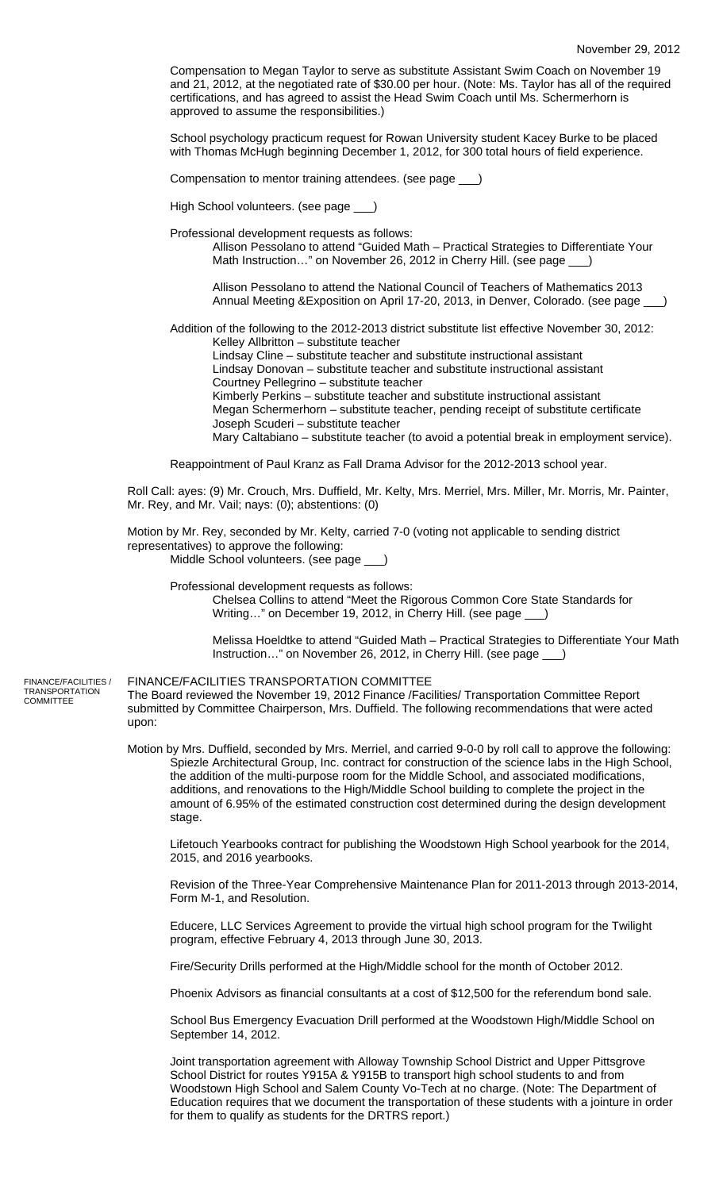Compensation to Megan Taylor to serve as substitute Assistant Swim Coach on November 19 and 21, 2012, at the negotiated rate of \$30.00 per hour. (Note: Ms. Taylor has all of the required certifications, and has agreed to assist the Head Swim Coach until Ms. Schermerhorn is approved to assume the responsibilities.)

School psychology practicum request for Rowan University student Kacey Burke to be placed with Thomas McHugh beginning December 1, 2012, for 300 total hours of field experience.

Compensation to mentor training attendees. (see page \_\_\_)

High School volunteers. (see page \_\_\_

Professional development requests as follows:

Allison Pessolano to attend "Guided Math – Practical Strategies to Differentiate Your Math Instruction..." on November 26, 2012 in Cherry Hill. (see page  $\qquad$ 

Allison Pessolano to attend the National Council of Teachers of Mathematics 2013 Annual Meeting &Exposition on April 17-20, 2013, in Denver, Colorado. (see page \_\_\_)

Addition of the following to the 2012-2013 district substitute list effective November 30, 2012: Kelley Allbritton – substitute teacher

Lindsay Cline – substitute teacher and substitute instructional assistant

Lindsay Donovan – substitute teacher and substitute instructional assistant Courtney Pellegrino – substitute teacher

Kimberly Perkins – substitute teacher and substitute instructional assistant Megan Schermerhorn – substitute teacher, pending receipt of substitute certificate

Joseph Scuderi – substitute teacher

Mary Caltabiano – substitute teacher (to avoid a potential break in employment service).

Reappointment of Paul Kranz as Fall Drama Advisor for the 2012-2013 school year.

Roll Call: ayes: (9) Mr. Crouch, Mrs. Duffield, Mr. Kelty, Mrs. Merriel, Mrs. Miller, Mr. Morris, Mr. Painter, Mr. Rey, and Mr. Vail; nays: (0); abstentions: (0)

Motion by Mr. Rey, seconded by Mr. Kelty, carried 7-0 (voting not applicable to sending district representatives) to approve the following: Middle School volunteers. (see page \_\_\_)

Professional development requests as follows:

Chelsea Collins to attend "Meet the Rigorous Common Core State Standards for Writing..." on December 19, 2012, in Cherry Hill. (see page \_

Melissa Hoeldtke to attend "Guided Math – Practical Strategies to Differentiate Your Math Instruction…" on November 26, 2012, in Cherry Hill. (see page \_\_\_)

FINANCE/FACILITIES / TRANSPORTATION **COMMITTEE** 

## FINANCE/FACILITIES TRANSPORTATION COMMITTEE The Board reviewed the November 19, 2012 Finance /Facilities/ Transportation Committee Report

submitted by Committee Chairperson, Mrs. Duffield. The following recommendations that were acted upon:

Motion by Mrs. Duffield, seconded by Mrs. Merriel, and carried 9-0-0 by roll call to approve the following: Spiezle Architectural Group, Inc. contract for construction of the science labs in the High School, the addition of the multi-purpose room for the Middle School, and associated modifications, additions, and renovations to the High/Middle School building to complete the project in the amount of 6.95% of the estimated construction cost determined during the design development stage.

Lifetouch Yearbooks contract for publishing the Woodstown High School yearbook for the 2014, 2015, and 2016 yearbooks.

Revision of the Three-Year Comprehensive Maintenance Plan for 2011-2013 through 2013-2014, Form M-1, and Resolution.

Educere, LLC Services Agreement to provide the virtual high school program for the Twilight program, effective February 4, 2013 through June 30, 2013.

Fire/Security Drills performed at the High/Middle school for the month of October 2012.

Phoenix Advisors as financial consultants at a cost of \$12,500 for the referendum bond sale.

School Bus Emergency Evacuation Drill performed at the Woodstown High/Middle School on September 14, 2012.

Joint transportation agreement with Alloway Township School District and Upper Pittsgrove School District for routes Y915A & Y915B to transport high school students to and from Woodstown High School and Salem County Vo-Tech at no charge. (Note: The Department of Education requires that we document the transportation of these students with a jointure in order for them to qualify as students for the DRTRS report.)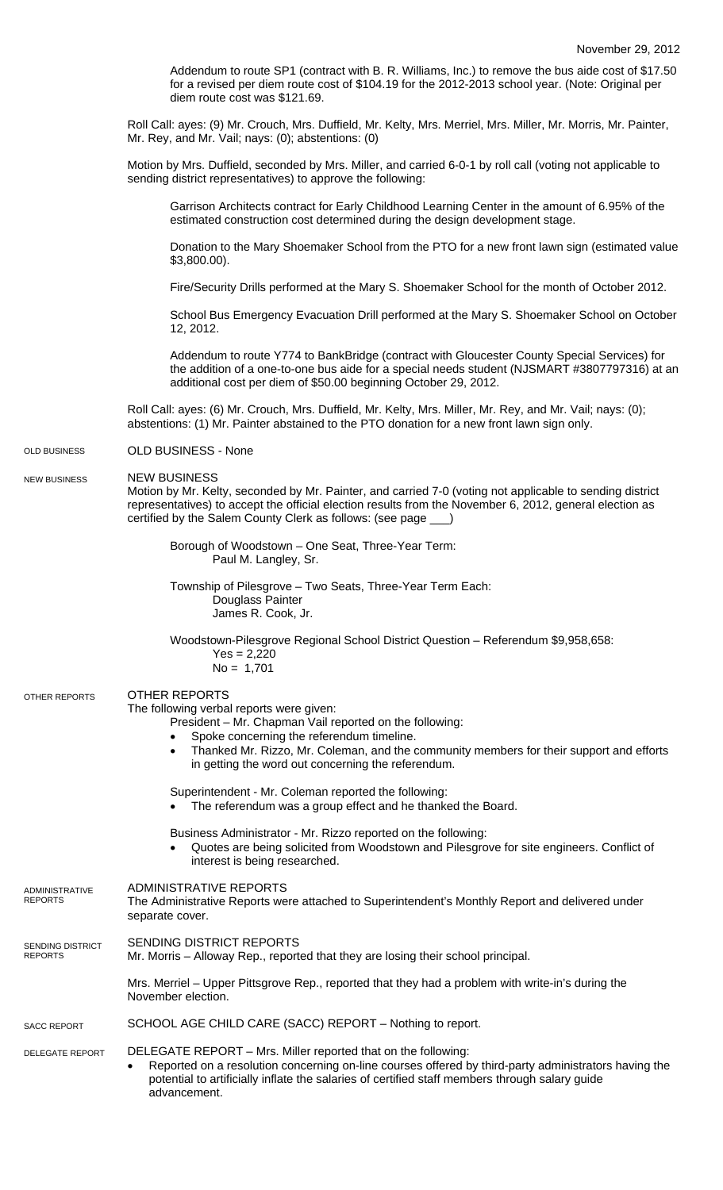Addendum to route SP1 (contract with B. R. Williams, Inc.) to remove the bus aide cost of \$17.50 for a revised per diem route cost of \$104.19 for the 2012-2013 school year. (Note: Original per diem route cost was \$121.69.

Roll Call: ayes: (9) Mr. Crouch, Mrs. Duffield, Mr. Kelty, Mrs. Merriel, Mrs. Miller, Mr. Morris, Mr. Painter, Mr. Rey, and Mr. Vail; nays: (0); abstentions: (0)

Motion by Mrs. Duffield, seconded by Mrs. Miller, and carried 6-0-1 by roll call (voting not applicable to sending district representatives) to approve the following:

Garrison Architects contract for Early Childhood Learning Center in the amount of 6.95% of the estimated construction cost determined during the design development stage.

Donation to the Mary Shoemaker School from the PTO for a new front lawn sign (estimated value \$3,800.00).

Fire/Security Drills performed at the Mary S. Shoemaker School for the month of October 2012.

School Bus Emergency Evacuation Drill performed at the Mary S. Shoemaker School on October 12, 2012.

Addendum to route Y774 to BankBridge (contract with Gloucester County Special Services) for the addition of a one-to-one bus aide for a special needs student (NJSMART #3807797316) at an additional cost per diem of \$50.00 beginning October 29, 2012.

Roll Call: ayes: (6) Mr. Crouch, Mrs. Duffield, Mr. Kelty, Mrs. Miller, Mr. Rey, and Mr. Vail; nays: (0); abstentions: (1) Mr. Painter abstained to the PTO donation for a new front lawn sign only.

## OLD BUSINESS - None OLD BUSINESS

## NEW BUSINESS NEW BUSINESS

Motion by Mr. Kelty, seconded by Mr. Painter, and carried 7-0 (voting not applicable to sending district representatives) to accept the official election results from the November 6, 2012, general election as certified by the Salem County Clerk as follows: (see page \_\_\_)

> Borough of Woodstown – One Seat, Three-Year Term: Paul M. Langley, Sr.

Township of Pilesgrove – Two Seats, Three-Year Term Each: Douglass Painter James R. Cook, Jr.

Woodstown-Pilesgrove Regional School District Question – Referendum \$9,958,658:  $VaR - 2,220$ 

| OTHER REPORTS                      | <b>OTHER REPORTS</b><br>The following verbal reports were given:<br>President - Mr. Chapman Vail reported on the following:<br>Spoke concerning the referendum timeline.<br>Thanked Mr. Rizzo, Mr. Coleman, and the community members for their support and efforts<br>in getting the word out concerning the referendum. |
|------------------------------------|---------------------------------------------------------------------------------------------------------------------------------------------------------------------------------------------------------------------------------------------------------------------------------------------------------------------------|
|                                    | Superintendent - Mr. Coleman reported the following:<br>The referendum was a group effect and he thanked the Board.                                                                                                                                                                                                       |
|                                    | Business Administrator - Mr. Rizzo reported on the following:<br>Quotes are being solicited from Woodstown and Pilesgrove for site engineers. Conflict of<br>interest is being researched.                                                                                                                                |
| ADMINISTRATIVE<br><b>REPORTS</b>   | ADMINISTRATIVE REPORTS<br>The Administrative Reports were attached to Superintendent's Monthly Report and delivered under<br>separate cover.                                                                                                                                                                              |
| SENDING DISTRICT<br><b>REPORTS</b> | <b>SENDING DISTRICT REPORTS</b><br>Mr. Morris - Alloway Rep., reported that they are losing their school principal.                                                                                                                                                                                                       |
|                                    | Mrs. Merriel – Upper Pittsgrove Rep., reported that they had a problem with write-in's during the<br>November election.                                                                                                                                                                                                   |
| <b>SACC REPORT</b>                 | SCHOOL AGE CHILD CARE (SACC) REPORT - Nothing to report.                                                                                                                                                                                                                                                                  |
| DELEGATE REPORT                    | DELEGATE REPORT - Mrs. Miller reported that on the following:<br>Reported on a resolution concerning on-line courses offered by third-party administrators having the<br>potential to artificially inflate the salaries of certified staff members through salary guide                                                   |

advancement.